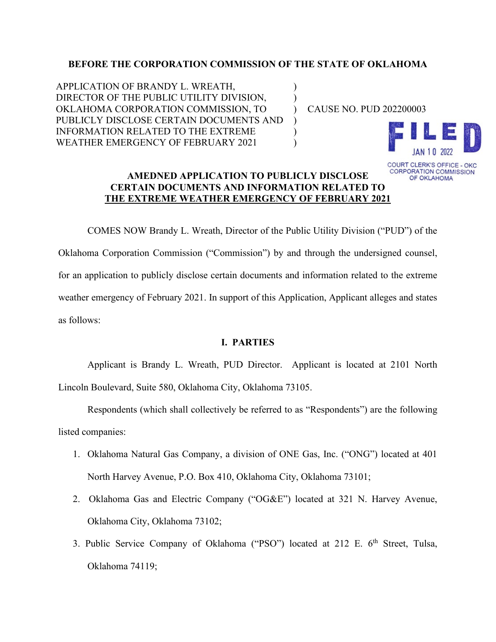#### **BEFORE THE CORPORATION COMMISSION OF THE STATE OF OKLAHOMA**

) )  $\lambda$ ) ) )

APPLICATION OF BRANDY L. WREATH, DIRECTOR OF THE PUBLIC UTILITY DIVISION, OKLAHOMA CORPORATION COMMISSION, TO PUBLICLY DISCLOSE CERTAIN DOCUMENTS AND INFORMATION RELATED TO THE EXTREME WEATHER EMERGENCY OF FEBRUARY 2021

CAUSE NO. PUD 202200003



OF OKLAHOMA

## **AMEDNED APPLICATION TO PUBLICLY DISCLOSE CERTAIN DOCUMENTS AND INFORMATION RELATED TO THE EXTREME WEATHER EMERGENCY OF FEBRUARY 2021**

COMES NOW Brandy L. Wreath, Director of the Public Utility Division ("PUD") of the Oklahoma Corporation Commission ("Commission") by and through the undersigned counsel, for an application to publicly disclose certain documents and information related to the extreme weather emergency of February 2021. In support of this Application, Applicant alleges and states as follows:

## **I. PARTIES**

Applicant is Brandy L. Wreath, PUD Director. Applicant is located at 2101 North Lincoln Boulevard, Suite 580, Oklahoma City, Oklahoma 73105.

Respondents (which shall collectively be referred to as "Respondents") are the following listed companies:

- 1. Oklahoma Natural Gas Company, a division of ONE Gas, Inc. ("ONG") located at 401 North Harvey Avenue, P.O. Box 410, Oklahoma City, Oklahoma 73101;
- 2. Oklahoma Gas and Electric Company ("OG&E") located at 321 N. Harvey Avenue, Oklahoma City, Oklahoma 73102;
- 3. Public Service Company of Oklahoma ("PSO") located at 212 E. 6<sup>th</sup> Street, Tulsa, Oklahoma 74119;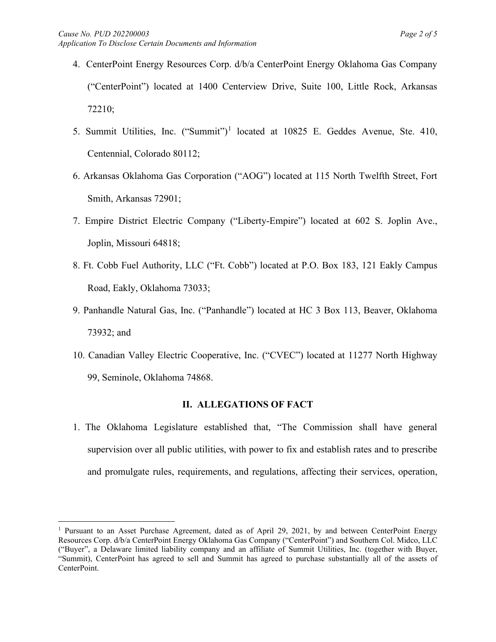- 4. CenterPoint Energy Resources Corp. d/b/a CenterPoint Energy Oklahoma Gas Company ("CenterPoint") located at 1400 Centerview Drive, Suite 100, Little Rock, Arkansas 72210;
- 5. Summit Utilities, Inc. ("Summit")<sup>[1](#page-1-0)</sup> located at 10825 E. Geddes Avenue, Ste. 410, Centennial, Colorado 80112;
- 6. Arkansas Oklahoma Gas Corporation ("AOG") located at 115 North Twelfth Street, Fort Smith, Arkansas 72901;
- 7. Empire District Electric Company ("Liberty-Empire") located at 602 S. Joplin Ave., Joplin, Missouri 64818;
- 8. Ft. Cobb Fuel Authority, LLC ("Ft. Cobb") located at P.O. Box 183, 121 Eakly Campus Road, Eakly, Oklahoma 73033;
- 9. Panhandle Natural Gas, Inc. ("Panhandle") located at HC 3 Box 113, Beaver, Oklahoma 73932; and
- 10. Canadian Valley Electric Cooperative, Inc. ("CVEC") located at 11277 North Highway 99, Seminole, Oklahoma 74868.

## **II. ALLEGATIONS OF FACT**

1. The Oklahoma Legislature established that, "The Commission shall have general supervision over all public utilities, with power to fix and establish rates and to prescribe and promulgate rules, requirements, and regulations, affecting their services, operation,

<span id="page-1-0"></span><sup>&</sup>lt;sup>1</sup> Pursuant to an Asset Purchase Agreement, dated as of April 29, 2021, by and between CenterPoint Energy Resources Corp. d/b/a CenterPoint Energy Oklahoma Gas Company ("CenterPoint") and Southern Col. Midco, LLC ("Buyer", a Delaware limited liability company and an affiliate of Summit Utilities, Inc. (together with Buyer, "Summit), CenterPoint has agreed to sell and Summit has agreed to purchase substantially all of the assets of CenterPoint.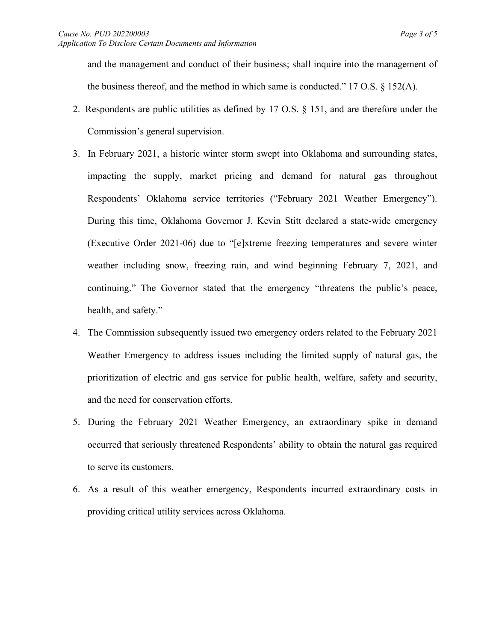and the management and conduct of their business; shall inquire into the management of the business thereof, and the method in which same is conducted." 17 O.S.  $\S$  152(A).

- 2. Respondents are public utilities as defined by 17 O.S. § 151, and are therefore under the Commission's general supervision.
- 3. In February 2021, a historic winter storm swept into Oklahoma and surrounding states, impacting the supply, market pricing and demand for natural gas throughout Respondents' Oklahoma service territories ("February 2021 Weather Emergency"). During this time, Oklahoma Governor J. Kevin Stitt declared a state-wide emergency (Executive Order 2021-06) due to "[e]xtreme freezing temperatures and severe winter weather including snow, freezing rain, and wind beginning February 7, 2021, and continuing." The Governor stated that the emergency "threatens the public's peace, health, and safety."
- 4. The Commission subsequently issued two emergency orders related to the February 2021 Weather Emergency to address issues including the limited supply of natural gas, the prioritization of electric and gas service for public health, welfare, safety and security, and the need for conservation efforts.
- 5. During the February 2021 Weather Emergency, an extraordinary spike in demand occurred that seriously threatened Respondents' ability to obtain the natural gas required to serve its customers.
- 6. As a result of this weather emergency, Respondents incurred extraordinary costs in providing critical utility services across Oklahoma.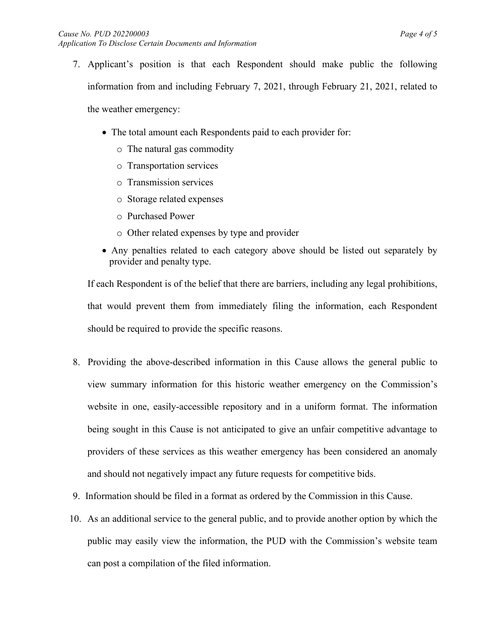- 7. Applicant's position is that each Respondent should make public the following information from and including February 7, 2021, through February 21, 2021, related to the weather emergency:
	- The total amount each Respondents paid to each provider for:
		- o The natural gas commodity
		- o Transportation services
		- o Transmission services
		- o Storage related expenses
		- o Purchased Power
		- o Other related expenses by type and provider
	- Any penalties related to each category above should be listed out separately by provider and penalty type.

If each Respondent is of the belief that there are barriers, including any legal prohibitions, that would prevent them from immediately filing the information, each Respondent should be required to provide the specific reasons.

- 8. Providing the above-described information in this Cause allows the general public to view summary information for this historic weather emergency on the Commission's website in one, easily-accessible repository and in a uniform format. The information being sought in this Cause is not anticipated to give an unfair competitive advantage to providers of these services as this weather emergency has been considered an anomaly and should not negatively impact any future requests for competitive bids.
- 9. Information should be filed in a format as ordered by the Commission in this Cause.
- 10. As an additional service to the general public, and to provide another option by which the public may easily view the information, the PUD with the Commission's website team can post a compilation of the filed information.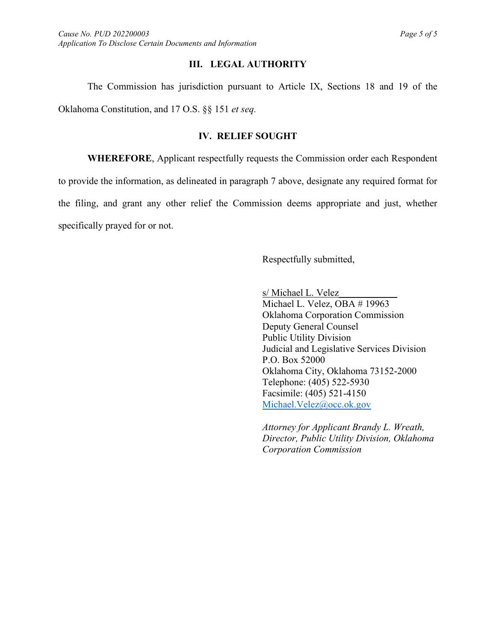## **III. LEGAL AUTHORITY**

The Commission has jurisdiction pursuant to Article IX, Sections 18 and 19 of the Oklahoma Constitution, and 17 O.S. §§ 151 *et seq.*

# **IV. RELIEF SOUGHT**

**WHEREFORE**, Applicant respectfully requests the Commission order each Respondent to provide the information, as delineated in paragraph 7 above, designate any required format for the filing, and grant any other relief the Commission deems appropriate and just, whether specifically prayed for or not.

Respectfully submitted,

s/ Michael L. Velez

Michael L. Velez, OBA # 19963 Oklahoma Corporation Commission Deputy General Counsel Public Utility Division Judicial and Legislative Services Division P.O. Box 52000 Oklahoma City, Oklahoma 73152-2000 Telephone: (405) 522-5930 Facsimile: (405) 521-4150 [Michael.Velez@occ.ok.gov](mailto:Michael.Velez@occ.ok.gov)

*Attorney for Applicant Brandy L. Wreath, Director, Public Utility Division, Oklahoma Corporation Commission*